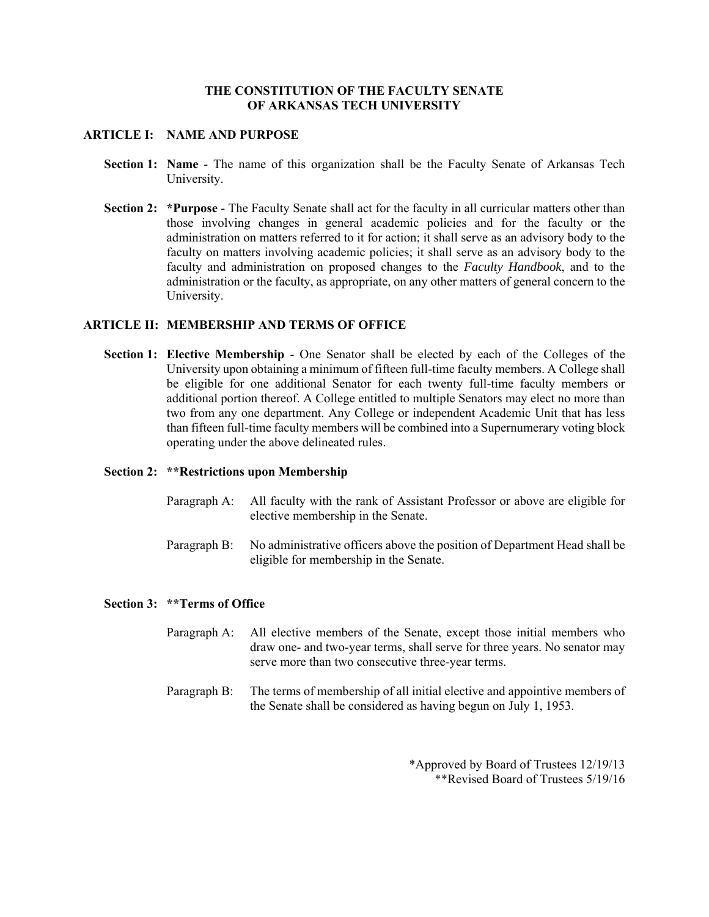## **THE CONSTITUTION OF THE FACULTY SENATE OF ARKANSAS TECH UNIVERSITY**

## **ARTICLE I: NAME AND PURPOSE**

- **Section 1: Name** The name of this organization shall be the Faculty Senate of Arkansas Tech University.
- **Section 2: \*Purpose** The Faculty Senate shall act for the faculty in all curricular matters other than those involving changes in general academic policies and for the faculty or the administration on matters referred to it for action; it shall serve as an advisory body to the faculty on matters involving academic policies; it shall serve as an advisory body to the faculty and administration on proposed changes to the *Faculty Handbook*, and to the administration or the faculty, as appropriate, on any other matters of general concern to the University.

## **ARTICLE II: MEMBERSHIP AND TERMS OF OFFICE**

**Section 1: Elective Membership** - One Senator shall be elected by each of the Colleges of the University upon obtaining a minimum of fifteen full-time faculty members. A College shall be eligible for one additional Senator for each twenty full-time faculty members or additional portion thereof. A College entitled to multiple Senators may elect no more than two from any one department. Any College or independent Academic Unit that has less than fifteen full-time faculty members will be combined into a Supernumerary voting block operating under the above delineated rules.

#### **Section 2: \*\*Restrictions upon Membership**

- Paragraph A: All faculty with the rank of Assistant Professor or above are eligible for elective membership in the Senate.
- Paragraph B: No administrative officers above the position of Department Head shall be eligible for membership in the Senate.

#### **Section 3: \*\*Terms of Office**

- Paragraph A: All elective members of the Senate, except those initial members who draw one- and two-year terms, shall serve for three years. No senator may serve more than two consecutive three-year terms.
- Paragraph B: The terms of membership of all initial elective and appointive members of the Senate shall be considered as having begun on July 1, 1953.

\*Approved by Board of Trustees 12/19/13 \*\*Revised Board of Trustees 5/19/16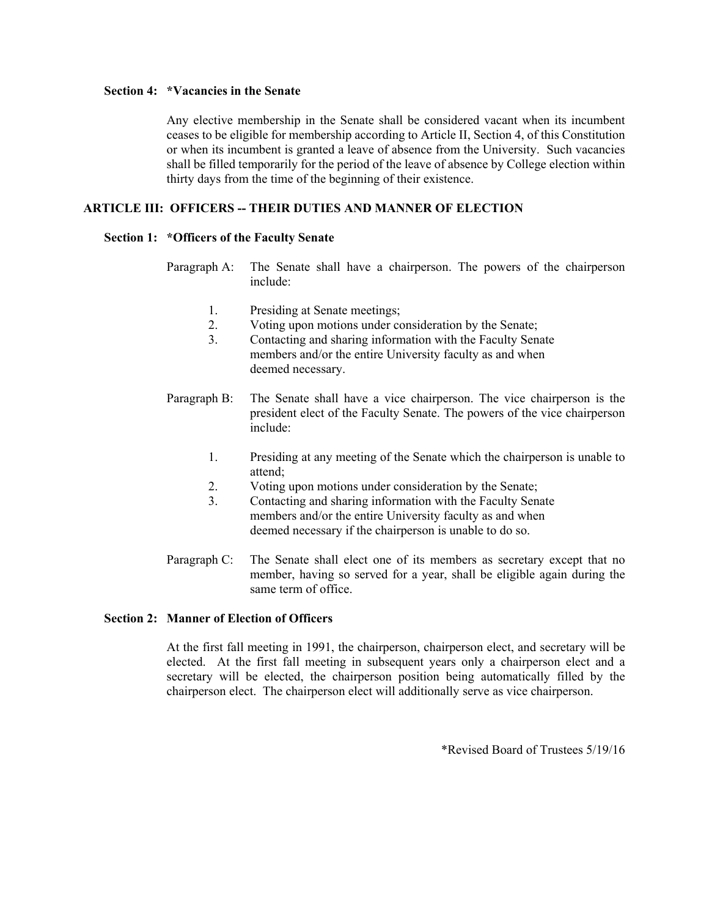## **Section 4: \*Vacancies in the Senate**

Any elective membership in the Senate shall be considered vacant when its incumbent ceases to be eligible for membership according to Article II, Section 4, of this Constitution or when its incumbent is granted a leave of absence from the University. Such vacancies shall be filled temporarily for the period of the leave of absence by College election within thirty days from the time of the beginning of their existence.

## **ARTICLE III: OFFICERS -- THEIR DUTIES AND MANNER OF ELECTION**

#### **Section 1: \*Officers of the Faculty Senate**

- Paragraph A: The Senate shall have a chairperson. The powers of the chairperson include:
	- 1. Presiding at Senate meetings;
	- 2. Voting upon motions under consideration by the Senate;
	- 3. Contacting and sharing information with the Faculty Senate members and/or the entire University faculty as and when deemed necessary.
- Paragraph B: The Senate shall have a vice chairperson. The vice chairperson is the president elect of the Faculty Senate. The powers of the vice chairperson include:
	- 1. Presiding at any meeting of the Senate which the chairperson is unable to attend;
	- 2. Voting upon motions under consideration by the Senate;
	- 3. Contacting and sharing information with the Faculty Senate members and/or the entire University faculty as and when deemed necessary if the chairperson is unable to do so.
- Paragraph C: The Senate shall elect one of its members as secretary except that no member, having so served for a year, shall be eligible again during the same term of office.

## **Section 2: Manner of Election of Officers**

At the first fall meeting in 1991, the chairperson, chairperson elect, and secretary will be elected. At the first fall meeting in subsequent years only a chairperson elect and a secretary will be elected, the chairperson position being automatically filled by the chairperson elect. The chairperson elect will additionally serve as vice chairperson.

\*Revised Board of Trustees 5/19/16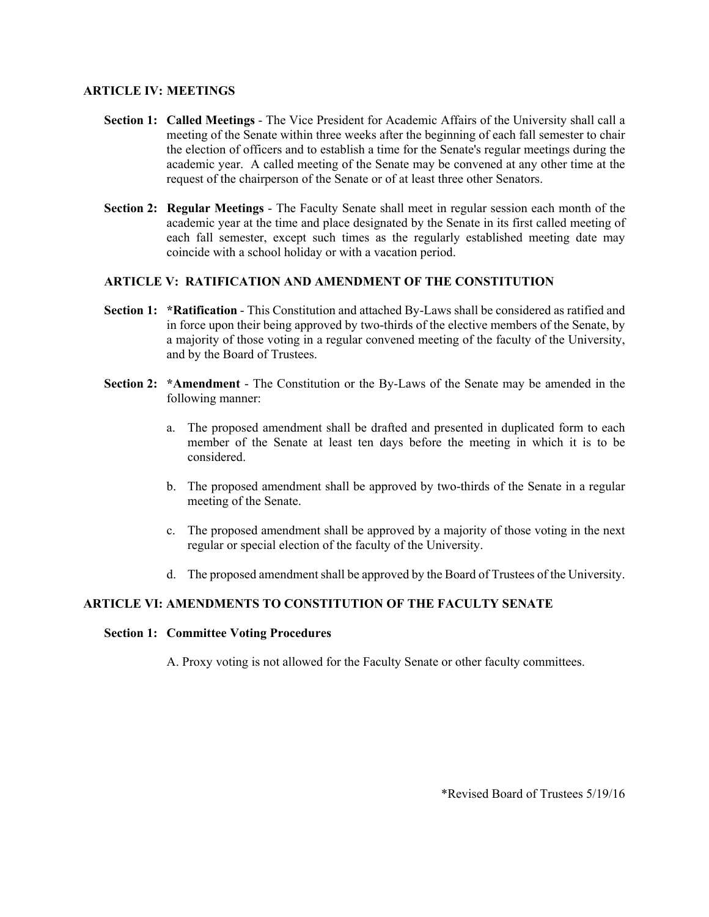## **ARTICLE IV: MEETINGS**

- **Section 1: Called Meetings** The Vice President for Academic Affairs of the University shall call a meeting of the Senate within three weeks after the beginning of each fall semester to chair the election of officers and to establish a time for the Senate's regular meetings during the academic year. A called meeting of the Senate may be convened at any other time at the request of the chairperson of the Senate or of at least three other Senators.
- **Section 2: Regular Meetings** The Faculty Senate shall meet in regular session each month of the academic year at the time and place designated by the Senate in its first called meeting of each fall semester, except such times as the regularly established meeting date may coincide with a school holiday or with a vacation period.

## **ARTICLE V: RATIFICATION AND AMENDMENT OF THE CONSTITUTION**

- **Section 1: \*Ratification** This Constitution and attached By-Laws shall be considered as ratified and in force upon their being approved by two-thirds of the elective members of the Senate, by a majority of those voting in a regular convened meeting of the faculty of the University, and by the Board of Trustees.
- **Section 2: \*Amendment** The Constitution or the By-Laws of the Senate may be amended in the following manner:
	- a. The proposed amendment shall be drafted and presented in duplicated form to each member of the Senate at least ten days before the meeting in which it is to be considered.
	- b. The proposed amendment shall be approved by two-thirds of the Senate in a regular meeting of the Senate.
	- c. The proposed amendment shall be approved by a majority of those voting in the next regular or special election of the faculty of the University.
	- d. The proposed amendment shall be approved by the Board of Trustees of the University.

# **ARTICLE VI: AMENDMENTS TO CONSTITUTION OF THE FACULTY SENATE**

#### **Section 1: Committee Voting Procedures**

A. Proxy voting is not allowed for the Faculty Senate or other faculty committees.

\*Revised Board of Trustees 5/19/16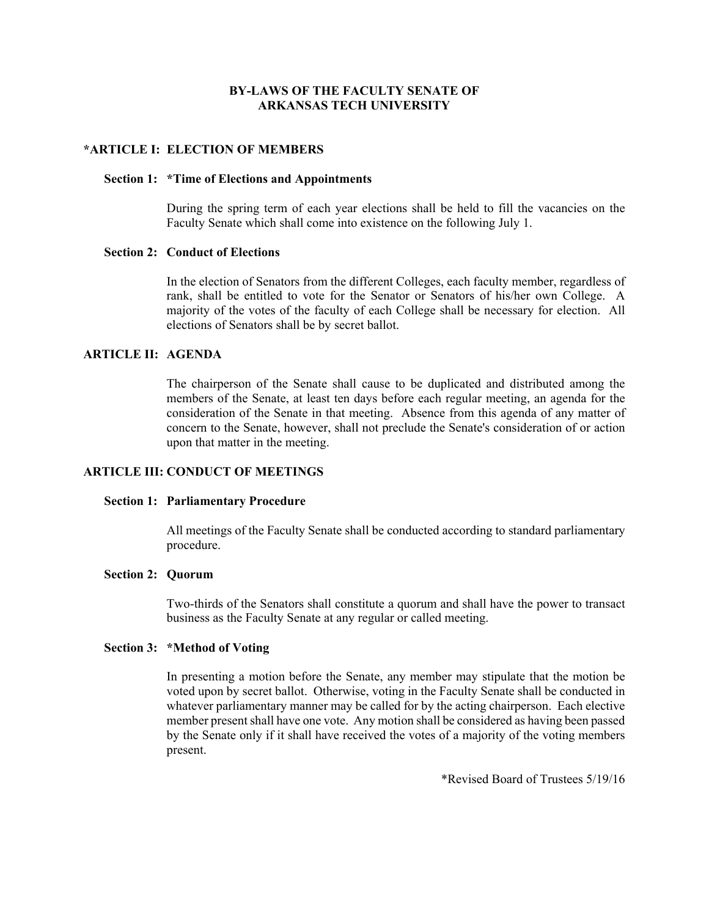## **BY-LAWS OF THE FACULTY SENATE OF ARKANSAS TECH UNIVERSITY**

### **\*ARTICLE I: ELECTION OF MEMBERS**

## **Section 1: \*Time of Elections and Appointments**

During the spring term of each year elections shall be held to fill the vacancies on the Faculty Senate which shall come into existence on the following July 1.

## **Section 2: Conduct of Elections**

In the election of Senators from the different Colleges, each faculty member, regardless of rank, shall be entitled to vote for the Senator or Senators of his/her own College. A majority of the votes of the faculty of each College shall be necessary for election. All elections of Senators shall be by secret ballot.

#### **ARTICLE II: AGENDA**

The chairperson of the Senate shall cause to be duplicated and distributed among the members of the Senate, at least ten days before each regular meeting, an agenda for the consideration of the Senate in that meeting. Absence from this agenda of any matter of concern to the Senate, however, shall not preclude the Senate's consideration of or action upon that matter in the meeting.

# **ARTICLE III: CONDUCT OF MEETINGS**

#### **Section 1: Parliamentary Procedure**

All meetings of the Faculty Senate shall be conducted according to standard parliamentary procedure.

### **Section 2: Quorum**

Two-thirds of the Senators shall constitute a quorum and shall have the power to transact business as the Faculty Senate at any regular or called meeting.

#### **Section 3: \*Method of Voting**

In presenting a motion before the Senate, any member may stipulate that the motion be voted upon by secret ballot. Otherwise, voting in the Faculty Senate shall be conducted in whatever parliamentary manner may be called for by the acting chairperson. Each elective member present shall have one vote. Any motion shall be considered as having been passed by the Senate only if it shall have received the votes of a majority of the voting members present.

\*Revised Board of Trustees 5/19/16